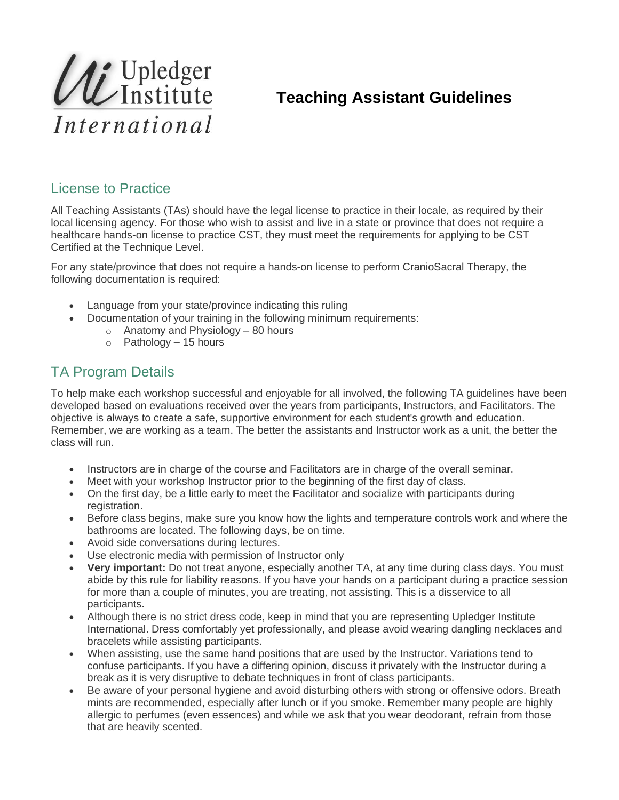

## **Teaching Assistant Guidelines**

## License to Practice

All Teaching Assistants (TAs) should have the legal license to practice in their locale, as required by their local licensing agency. For those who wish to assist and live in a state or province that does not require a healthcare hands-on license to practice CST, they must meet the requirements for applying to be CST Certified at the Technique Level.

For any state/province that does not require a hands-on license to perform CranioSacral Therapy, the following documentation is required:

- Language from your state/province indicating this ruling
- Documentation of your training in the following minimum requirements:
	- $\circ$  Anatomy and Physiology 80 hours
	- $\circ$  Pathology 15 hours

## TA Program Details

To help make each workshop successful and enjoyable for all involved, the following TA guidelines have been developed based on evaluations received over the years from participants, Instructors, and Facilitators. The objective is always to create a safe, supportive environment for each student's growth and education. Remember, we are working as a team. The better the assistants and Instructor work as a unit, the better the class will run.

- Instructors are in charge of the course and Facilitators are in charge of the overall seminar.
- Meet with your workshop Instructor prior to the beginning of the first day of class.
- On the first day, be a little early to meet the Facilitator and socialize with participants during registration.
- Before class begins, make sure you know how the lights and temperature controls work and where the bathrooms are located. The following days, be on time.
- Avoid side conversations during lectures.
- Use electronic media with permission of Instructor only
- **Very important:** Do not treat anyone, especially another TA, at any time during class days. You must abide by this rule for liability reasons. If you have your hands on a participant during a practice session for more than a couple of minutes, you are treating, not assisting. This is a disservice to all participants.
- Although there is no strict dress code, keep in mind that you are representing Upledger Institute International. Dress comfortably yet professionally, and please avoid wearing dangling necklaces and bracelets while assisting participants.
- When assisting, use the same hand positions that are used by the Instructor. Variations tend to confuse participants. If you have a differing opinion, discuss it privately with the Instructor during a break as it is very disruptive to debate techniques in front of class participants.
- Be aware of your personal hygiene and avoid disturbing others with strong or offensive odors. Breath mints are recommended, especially after lunch or if you smoke. Remember many people are highly allergic to perfumes (even essences) and while we ask that you wear deodorant, refrain from those that are heavily scented.